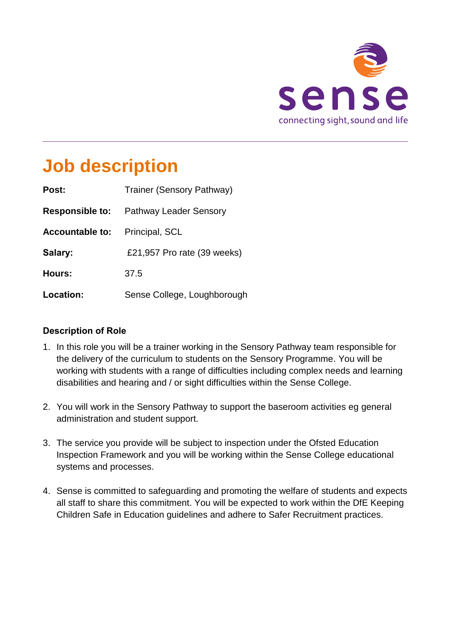

## **Job description**

| Post:                  | Trainer (Sensory Pathway)     |
|------------------------|-------------------------------|
| <b>Responsible to:</b> | <b>Pathway Leader Sensory</b> |
| <b>Accountable to:</b> | Principal, SCL                |
| Salary:                | £21,957 Pro rate (39 weeks)   |
| Hours:                 | 37.5                          |
| Location:              | Sense College, Loughborough   |

#### **Description of Role**

- 1. In this role you will be a trainer working in the Sensory Pathway team responsible for the delivery of the curriculum to students on the Sensory Programme. You will be working with students with a range of difficulties including complex needs and learning disabilities and hearing and / or sight difficulties within the Sense College.
- 2. You will work in the Sensory Pathway to support the baseroom activities eg general administration and student support.
- 3. The service you provide will be subject to inspection under the Ofsted Education Inspection Framework and you will be working within the Sense College educational systems and processes.
- 4. Sense is committed to safeguarding and promoting the welfare of students and expects all staff to share this commitment. You will be expected to work within the DfE Keeping Children Safe in Education guidelines and adhere to Safer Recruitment practices.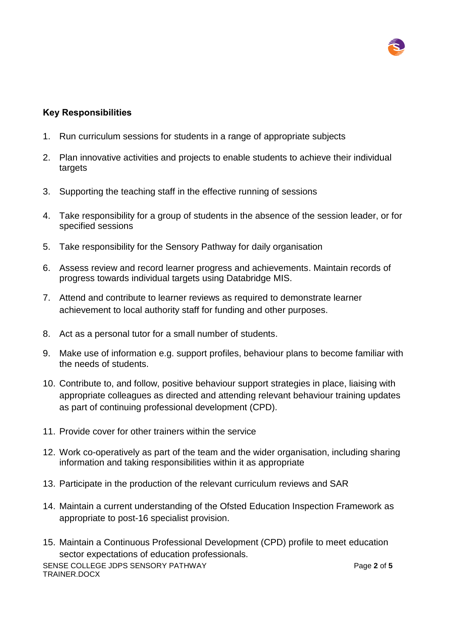#### **Key Responsibilities**

- 1. Run curriculum sessions for students in a range of appropriate subjects
- 2. Plan innovative activities and projects to enable students to achieve their individual targets
- 3. Supporting the teaching staff in the effective running of sessions
- 4. Take responsibility for a group of students in the absence of the session leader, or for specified sessions
- 5. Take responsibility for the Sensory Pathway for daily organisation
- 6. Assess review and record learner progress and achievements. Maintain records of progress towards individual targets using Databridge MIS.
- 7. Attend and contribute to learner reviews as required to demonstrate learner achievement to local authority staff for funding and other purposes.
- 8. Act as a personal tutor for a small number of students.
- 9. Make use of information e.g. support profiles, behaviour plans to become familiar with the needs of students.
- 10. Contribute to, and follow, positive behaviour support strategies in place, liaising with appropriate colleagues as directed and attending relevant behaviour training updates as part of continuing professional development (CPD).
- 11. Provide cover for other trainers within the service
- 12. Work co-operatively as part of the team and the wider organisation, including sharing information and taking responsibilities within it as appropriate
- 13. Participate in the production of the relevant curriculum reviews and SAR
- 14. Maintain a current understanding of the Ofsted Education Inspection Framework as appropriate to post-16 specialist provision.
- 15. Maintain a Continuous Professional Development (CPD) profile to meet education sector expectations of education professionals.

SENSE COLLEGE JDPS SENSORY PATHWAY TRAINER.DOCX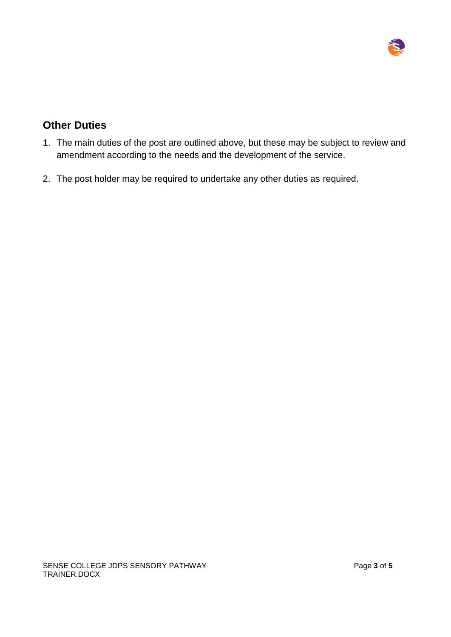

### **Other Duties**

- 1. The main duties of the post are outlined above, but these may be subject to review and amendment according to the needs and the development of the service.
- 2. The post holder may be required to undertake any other duties as required.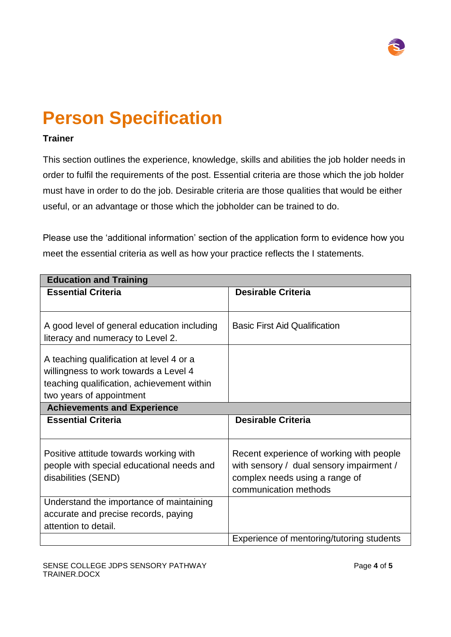

# **Person Specification**

#### **Trainer**

This section outlines the experience, knowledge, skills and abilities the job holder needs in order to fulfil the requirements of the post. Essential criteria are those which the job holder must have in order to do the job. Desirable criteria are those qualities that would be either useful, or an advantage or those which the jobholder can be trained to do.

Please use the 'additional information' section of the application form to evidence how you meet the essential criteria as well as how your practice reflects the I statements.

| <b>Education and Training</b>                                                     |                                                         |  |
|-----------------------------------------------------------------------------------|---------------------------------------------------------|--|
| <b>Essential Criteria</b>                                                         | <b>Desirable Criteria</b>                               |  |
|                                                                                   |                                                         |  |
| A good level of general education including                                       | <b>Basic First Aid Qualification</b>                    |  |
| literacy and numeracy to Level 2.                                                 |                                                         |  |
| A teaching qualification at level 4 or a<br>willingness to work towards a Level 4 |                                                         |  |
| teaching qualification, achievement within                                        |                                                         |  |
| two years of appointment                                                          |                                                         |  |
| <b>Achievements and Experience</b>                                                |                                                         |  |
| <b>Essential Criteria</b>                                                         | <b>Desirable Criteria</b>                               |  |
|                                                                                   |                                                         |  |
| Positive attitude towards working with                                            | Recent experience of working with people                |  |
| people with special educational needs and                                         | with sensory / dual sensory impairment /                |  |
| disabilities (SEND)                                                               | complex needs using a range of<br>communication methods |  |
| Understand the importance of maintaining                                          |                                                         |  |
|                                                                                   |                                                         |  |
| accurate and precise records, paying<br>attention to detail.                      |                                                         |  |
|                                                                                   | Experience of mentoring/tutoring students               |  |